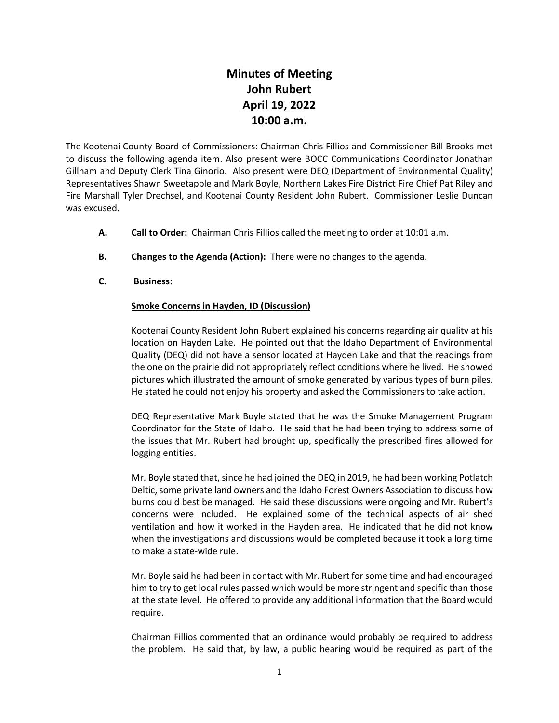## **Minutes of Meeting John Rubert April 19, 2022 10:00 a.m.**

The Kootenai County Board of Commissioners: Chairman Chris Fillios and Commissioner Bill Brooks met to discuss the following agenda item. Also present were BOCC Communications Coordinator Jonathan Gillham and Deputy Clerk Tina Ginorio. Also present were DEQ (Department of Environmental Quality) Representatives Shawn Sweetapple and Mark Boyle, Northern Lakes Fire District Fire Chief Pat Riley and Fire Marshall Tyler Drechsel, and Kootenai County Resident John Rubert. Commissioner Leslie Duncan was excused.

- **A. Call to Order:** Chairman Chris Fillios called the meeting to order at 10:01 a.m.
- **B. Changes to the Agenda (Action):** There were no changes to the agenda.
- **C. Business:**

## **Smoke Concerns in Hayden, ID (Discussion)**

Kootenai County Resident John Rubert explained his concerns regarding air quality at his location on Hayden Lake. He pointed out that the Idaho Department of Environmental Quality (DEQ) did not have a sensor located at Hayden Lake and that the readings from the one on the prairie did not appropriately reflect conditions where he lived. He showed pictures which illustrated the amount of smoke generated by various types of burn piles. He stated he could not enjoy his property and asked the Commissioners to take action.

DEQ Representative Mark Boyle stated that he was the Smoke Management Program Coordinator for the State of Idaho. He said that he had been trying to address some of the issues that Mr. Rubert had brought up, specifically the prescribed fires allowed for logging entities.

Mr. Boyle stated that, since he had joined the DEQ in 2019, he had been working Potlatch Deltic, some private land owners and the Idaho Forest Owners Association to discuss how burns could best be managed. He said these discussions were ongoing and Mr. Rubert's concerns were included. He explained some of the technical aspects of air shed ventilation and how it worked in the Hayden area. He indicated that he did not know when the investigations and discussions would be completed because it took a long time to make a state-wide rule.

Mr. Boyle said he had been in contact with Mr. Rubert for some time and had encouraged him to try to get local rules passed which would be more stringent and specific than those at the state level. He offered to provide any additional information that the Board would require.

Chairman Fillios commented that an ordinance would probably be required to address the problem. He said that, by law, a public hearing would be required as part of the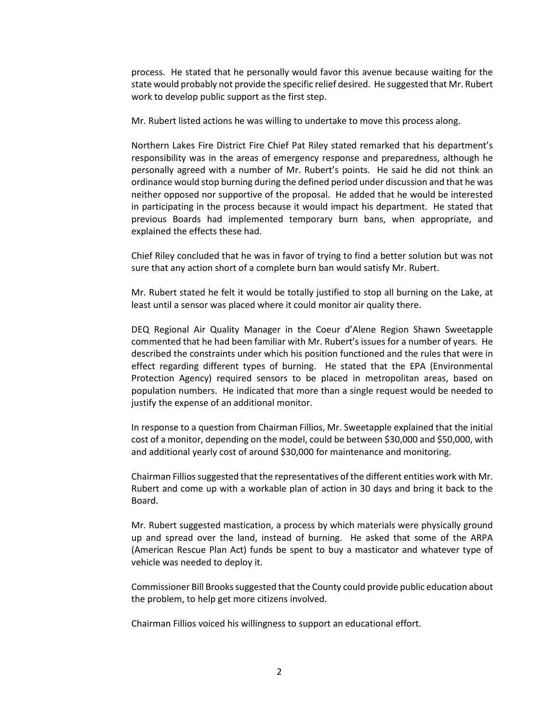process. He stated that he personally would favor this avenue because waiting for the state would probably not provide the specific relief desired. He suggested that Mr. Rubert work to develop public support as the first step.

Mr. Rubert listed actions he was willing to undertake to move this process along.

Northern Lakes Fire District Fire Chief Pat Riley stated remarked that his department's responsibility was in the areas of emergency response and preparedness, although he personally agreed with a number of Mr. Rubert's points. He said he did not think an ordinance would stop burning during the defined period under discussion and that he was neither opposed nor supportive of the proposal. He added that he would be interested in participating in the process because it would impact his department. He stated that previous Boards had implemented temporary burn bans, when appropriate, and explained the effects these had.

Chief Riley concluded that he was in favor of trying to find a better solution but was not sure that any action short of a complete burn ban would satisfy Mr. Rubert.

Mr. Rubert stated he felt it would be totally justified to stop all burning on the Lake, at least until a sensor was placed where it could monitor air quality there.

DEQ Regional Air Quality Manager in the Coeur d'Alene Region Shawn Sweetapple commented that he had been familiar with Mr. Rubert's issues for a number of years. He described the constraints under which his position functioned and the rules that were in effect regarding different types of burning. He stated that the EPA (Environmental Protection Agency) required sensors to be placed in metropolitan areas, based on population numbers. He indicated that more than a single request would be needed to justify the expense of an additional monitor.

In response to a question from Chairman Fillios, Mr. Sweetapple explained that the initial cost of a monitor, depending on the model, could be between \$30,000 and \$50,000, with and additional yearly cost of around \$30,000 for maintenance and monitoring.

Chairman Fillios suggested that the representatives of the different entities work with Mr. Rubert and come up with a workable plan of action in 30 days and bring it back to the Board.

Mr. Rubert suggested mastication, a process by which materials were physically ground up and spread over the land, instead of burning. He asked that some of the ARPA (American Rescue Plan Act) funds be spent to buy a masticator and whatever type of vehicle was needed to deploy it.

Commissioner Bill Brooks suggested that the County could provide public education about the problem, to help get more citizens involved.

Chairman Fillios voiced his willingness to support an educational effort.